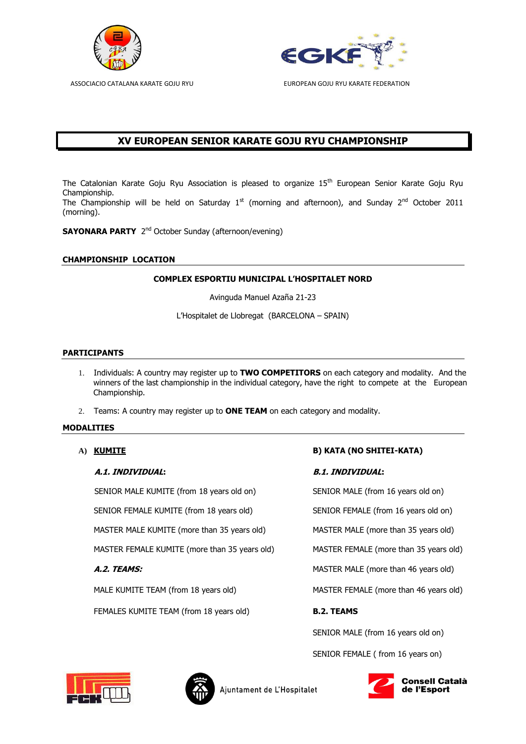



# **XV EUROPEAN SENIOR KARATE GOJU RYU CHAMPIONSHIP**

The Catalonian Karate Goju Ryu Association is pleased to organize 15<sup>th</sup> European Senior Karate Goju Ryu Championship.

Intermitation. (morning).

**SAYONARA PARTY** 2<sup>nd</sup> October Sunday (afternoon/evening)

# **CHAMPIONSHIP LOCATION**

# **COMPLEX ESPORTIU MUNICIPAL L'HOSPITALET NORD**

Avinguda Manuel Azaña 21-23

L'Hospitalet de Llobregat (BARCELONA – SPAIN)

### **PARTICIPANTS**

- 1. Individuals: A country may register up to **TWO COMPETITORS** on each category and modality. And the winners of the last championship in the individual category, have the right to compete at the European Championship.
- 2. Teams: A country may register up to **ONE TEAM** on each category and modality.

# **MODALITIES**

#### **A.1. INDIVIDUAL: B.1. INDIVIDUAL:**

SENIOR MALE KUMITE (from 18 years old on) SENIOR MALE (from 16 years old on)

SENIOR FEMALE KUMITE (from 18 years old) SENIOR FEMALE (from 16 years old on)

MASTER MALE KUMITE (more than 35 years old) MASTER MALE (more than 35 years old)

MASTER FEMALE KUMITE (more than 35 years old) MASTER FEMALE (more than 35 years old)

FEMALES KUMITE TEAM (from 18 years old) **B.2. TEAMS** 

# **A) KUMITE B) KATA (NO SHITEI-KATA)**

**A.2. TEAMS: MASTER MALE (more than 46 years old) MASTER MALE (more than 46 years old)** MALE KUMITE TEAM (from 18 years old) MASTER FEMALE (more than 46 years old) SENIOR MALE (from 16 years old on)

SENIOR FEMALE ( from 16 years on)





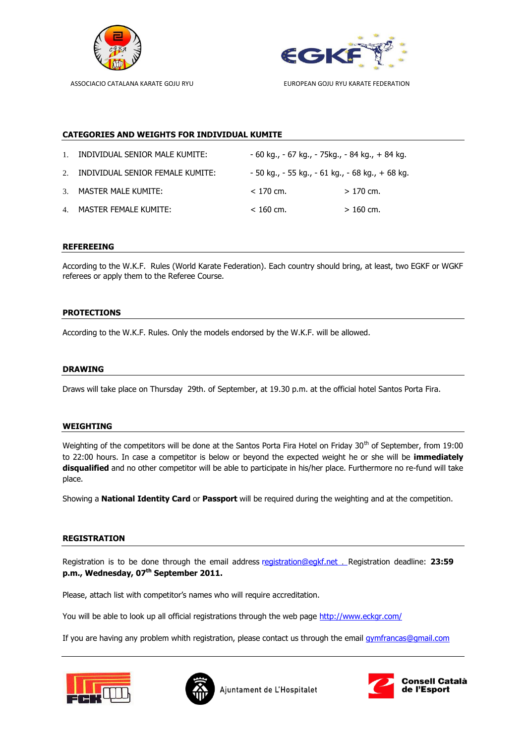



# **CATEGORIES AND WEIGHTS FOR INDIVIDUAL KUMITE**

| $1_{-}$ | INDIVIDUAL SENIOR MALE KUMITE:      | - 60 kg., - 67 kg., - 75kg., - 84 kg., + 84 kg.       |            |
|---------|-------------------------------------|-------------------------------------------------------|------------|
|         | 2. INDIVIDUAL SENIOR FEMALE KUMITE: | $-50$ kg., $-55$ kg., $-61$ kg., $-68$ kg., $+68$ kg. |            |
|         | 3. MASTER MALE KUMITE:              | $< 170$ cm.                                           | $>170$ cm. |
|         | 4. MASTER FEMALE KUMITE:            | $< 160$ cm.                                           | $>160$ cm. |

#### **REFEREEING**

According to the W.K.F. Rules (World Karate Federation). Each country should bring, at least, two EGKF or WGKF referees or apply them to the Referee Course.

# **PROTECTIONS**

According to the W.K.F. Rules. Only the models endorsed by the W.K.F. will be allowed.

#### **DRAWING**

Draws will take place on Thursday 29th. of September, at 19.30 p.m. at the official hotel Santos Porta Fira.

#### **WEIGHTING**

Weighting of the competitors will be done at the Santos Porta Fira Hotel on Friday 30<sup>th</sup> of September, from 19:00 to 22:00 hours. In case a competitor is below or beyond the expected weight he or she will be **immediately disqualified** and no other competitor will be able to participate in his/her place. Furthermore no re-fund will take place.

Showing a **National Identity Card** or **Passport** will be required during the weighting and at the competition.

### **REGISTRATION**

Registration is to be done through the email address [registration](mailto:gymfrancas@gmail.com)@egkf.net . Registration deadline: **23:59 p.m., Wednesday, 07th September 2011.** 

Please, attach list with competitor's names who will require accreditation.

You will be able to look up all official registrations through the web page http://www.eckgr.com/

If you are having any problem whith registration, please contact us through the email [gymfrancas@gmail.com](mailto:gymfrancas@gmail.com)





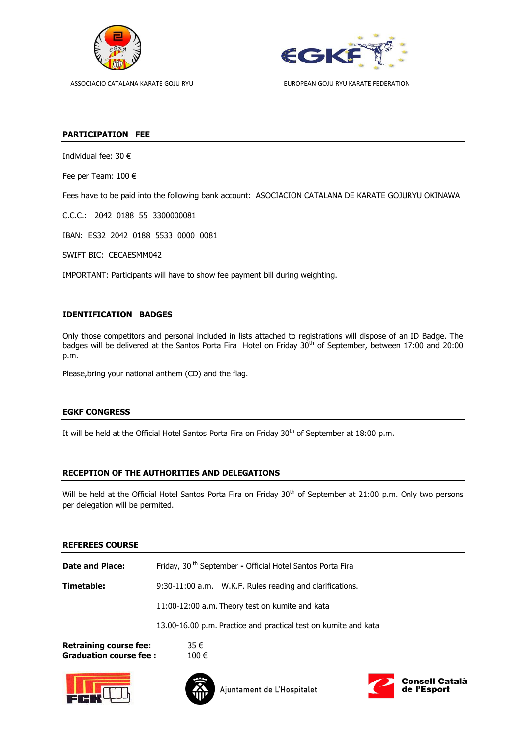



### **PARTICIPATION FEE**

Individual fee: 30 €

Fee per Team: 100 €

Fees have to be paid into the following bank account: ASOCIACION CATALANA DE KARATE GOJURYU OKINAWA

C.C.C.: 2042 0188 55 3300000081

IBAN: ES32 2042 0188 5533 0000 0081

SWIFT BIC: CECAESMM042

IMPORTANT: Participants will have to show fee payment bill during weighting.

# **IDENTIFICATION BADGES**

Only those competitors and personal included in lists attached to registrations will dispose of an ID Badge. The badges will be delivered at the Santos Porta Fira Hotel on Friday 30<sup>th</sup> of September, between 17:00 and 20:00 p.m.

Please,bring your national anthem (CD) and the flag.

# **EGKF CONGRESS**

It will be held at the Official Hotel Santos Porta Fira on Friday 30<sup>th</sup> of September at 18:00 p.m.

# **RECEPTION OF THE AUTHORITIES AND DELEGATIONS**

Will be held at the Official Hotel Santos Porta Fira on Friday 30<sup>th</sup> of September at 21:00 p.m. Only two persons per delegation will be permited.

#### **REFEREES COURSE**

| <b>Date and Place:</b>        | Friday, 30 <sup>th</sup> September - Official Hotel Santos Porta Fira |  |  |
|-------------------------------|-----------------------------------------------------------------------|--|--|
| Timetable:                    | 9:30-11:00 a.m. W.K.F. Rules reading and clarifications.              |  |  |
|                               | 11:00-12:00 a.m. Theory test on kumite and kata                       |  |  |
|                               | 13.00-16.00 p.m. Practice and practical test on kumite and kata       |  |  |
| <b>Retraining course fee:</b> | 35 €                                                                  |  |  |

**Graduation course fee :** 100 €